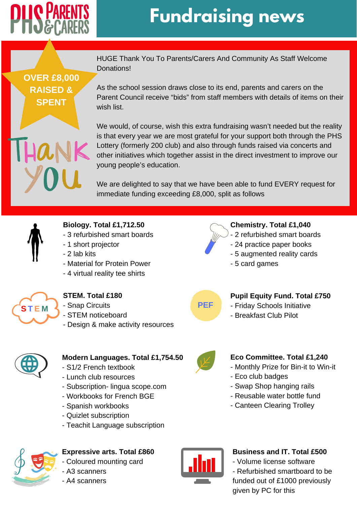

# **Fundraising news**

**OVER £8,000 RAISED & SPENT**

HUGE Thank You To Parents/Carers And Community As Staff Welcome Donations!

As the school session draws close to its end, parents and carers on the Parent Council receive "bids" from staff members with details of items on their wish list.

We would, of course, wish this extra fundraising wasn't needed but the reality is that every year we are most grateful for your support both through the PHS Lottery (formerly 200 club) and also through funds raised via concerts and other initiatives which together assist in the direct investment to improve our young people's education.

We are delighted to say that we have been able to fund EVERY request for immediate funding exceeding £8,000, split as follows



#### **Biology. Total £1,712.50**

- 3 refurbished smart boards
- 1 short projector
- 2 lab kits
- Material for Protein Power
- 4 virtual reality tee shirts



### **STEM. Total £180**

- Snap Circuits
- STEM noticeboard
- Design & make activity resources



- 2 refurbished smart boards
- 24 practice paper books
- 5 augmented reality cards
- 5 card games

### **PEF**

#### **Pupil Equity Fund. Total £750**

**Eco Committee. Total £1,240** - Monthly Prize for Bin-it to Win-it

- Swap Shop hanging rails - Reusable water bottle fund - Canteen Clearing Trolley

- Friday Schools Initiative
- Breakfast Club Pilot

- Eco club badges



#### **Modern Languages. Total £1,754.50**

- S1/2 French textbook
- Lunch club resources
- Subscription- lingua scope.com
- Workbooks for French BGE
- Spanish workbooks
- Quizlet subscription
- Teachit Language subscription



#### **Expressive arts. Total £860**

- Coloured mounting card

- A3 scanners
- A4 scanners



#### **Business and IT. Total £500**

- Volume license software

- Refurbished smartboard to be funded out of £1000 previously given by PC for this